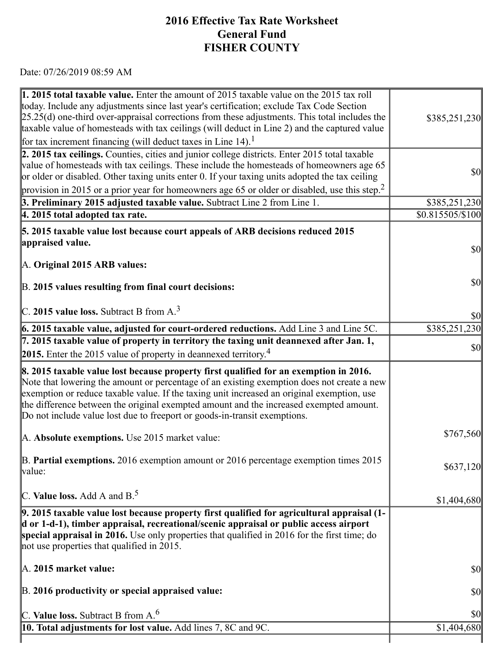## 7/26/2019 https://actweb.acttax.com/tnt/application/reports/1564149574665.html **2016 Effective Tax Rate Worksheet General Fund FISHER COUNTY**

Date: 07/26/2019 08:59 AM

| <b>1. 2015 total taxable value.</b> Enter the amount of 2015 taxable value on the 2015 tax roll<br>today. Include any adjustments since last year's certification; exclude Tax Code Section                                                                                                                                                                                                                                                              |                                     |
|----------------------------------------------------------------------------------------------------------------------------------------------------------------------------------------------------------------------------------------------------------------------------------------------------------------------------------------------------------------------------------------------------------------------------------------------------------|-------------------------------------|
| $[25.25(d)$ one-third over-appraisal corrections from these adjustments. This total includes the<br>taxable value of homesteads with tax ceilings (will deduct in Line 2) and the captured value                                                                                                                                                                                                                                                         | \$385,251,230                       |
| for tax increment financing (will deduct taxes in Line 14). <sup>1</sup>                                                                                                                                                                                                                                                                                                                                                                                 |                                     |
| 2. 2015 tax ceilings. Counties, cities and junior college districts. Enter 2015 total taxable                                                                                                                                                                                                                                                                                                                                                            |                                     |
| value of homesteads with tax ceilings. These include the homesteads of homeowners age 65                                                                                                                                                                                                                                                                                                                                                                 | $\vert \mathbf{S} \mathbf{O} \vert$ |
| or older or disabled. Other taxing units enter 0. If your taxing units adopted the tax ceiling                                                                                                                                                                                                                                                                                                                                                           |                                     |
| provision in 2015 or a prior year for homeowners age 65 or older or disabled, use this step. <sup>2</sup>                                                                                                                                                                                                                                                                                                                                                |                                     |
| 3. Preliminary 2015 adjusted taxable value. Subtract Line 2 from Line 1.                                                                                                                                                                                                                                                                                                                                                                                 | \$385,251,230                       |
| $ 4.2015$ total adopted tax rate.                                                                                                                                                                                                                                                                                                                                                                                                                        | \$0.815505/\$100                    |
| 5. 2015 taxable value lost because court appeals of ARB decisions reduced 2015                                                                                                                                                                                                                                                                                                                                                                           |                                     |
| appraised value.                                                                                                                                                                                                                                                                                                                                                                                                                                         | $\vert \mathbf{S} \mathbf{O} \vert$ |
|                                                                                                                                                                                                                                                                                                                                                                                                                                                          |                                     |
| A. Original 2015 ARB values:                                                                                                                                                                                                                                                                                                                                                                                                                             |                                     |
| B. 2015 values resulting from final court decisions:                                                                                                                                                                                                                                                                                                                                                                                                     | $\vert \mathbf{S} \mathbf{O} \vert$ |
| $\vert$ C. 2015 value loss. Subtract B from A. <sup>3</sup>                                                                                                                                                                                                                                                                                                                                                                                              | $\vert \$\text{0}\vert$             |
| 6. 2015 taxable value, adjusted for court-ordered reductions. Add Line 3 and Line 5C.                                                                                                                                                                                                                                                                                                                                                                    | \$385,251,230                       |
| 7. 2015 taxable value of property in territory the taxing unit deannexed after Jan. 1,                                                                                                                                                                                                                                                                                                                                                                   | $\vert \mathbf{S} \mathbf{O} \vert$ |
| 2015. Enter the 2015 value of property in deannexed territory. <sup>4</sup>                                                                                                                                                                                                                                                                                                                                                                              |                                     |
| 8. 2015 taxable value lost because property first qualified for an exemption in 2016.<br>Note that lowering the amount or percentage of an existing exemption does not create a new<br>exemption or reduce taxable value. If the taxing unit increased an original exemption, use<br>the difference between the original exempted amount and the increased exempted amount.<br>Do not include value lost due to freeport or goods-in-transit exemptions. |                                     |
| A. Absolute exemptions. Use 2015 market value:                                                                                                                                                                                                                                                                                                                                                                                                           | \$767,560                           |
| B. Partial exemptions. 2016 exemption amount or 2016 percentage exemption times 2015<br>value:                                                                                                                                                                                                                                                                                                                                                           | \$637,120                           |
| C. Value loss. Add A and $B^5$ .                                                                                                                                                                                                                                                                                                                                                                                                                         | \$1,404,680                         |
| 9. 2015 taxable value lost because property first qualified for agricultural appraisal (1-<br>d or 1-d-1), timber appraisal, recreational/scenic appraisal or public access airport<br>special appraisal in 2016. Use only properties that qualified in 2016 for the first time; do<br>not use properties that qualified in 2015.                                                                                                                        |                                     |
| $\mathbb{A}$ . 2015 market value:                                                                                                                                                                                                                                                                                                                                                                                                                        | $\vert \mathbf{S} \mathbf{O} \vert$ |
| B. 2016 productivity or special appraised value:                                                                                                                                                                                                                                                                                                                                                                                                         | $\vert \mathbf{S} \mathbf{O} \vert$ |
| C. Value loss. Subtract B from $A6$                                                                                                                                                                                                                                                                                                                                                                                                                      | $\frac{1}{2}$                       |
| <b>10. Total adjustments for lost value.</b> Add lines 7, 8C and 9C.                                                                                                                                                                                                                                                                                                                                                                                     | \$1,404,680                         |
|                                                                                                                                                                                                                                                                                                                                                                                                                                                          |                                     |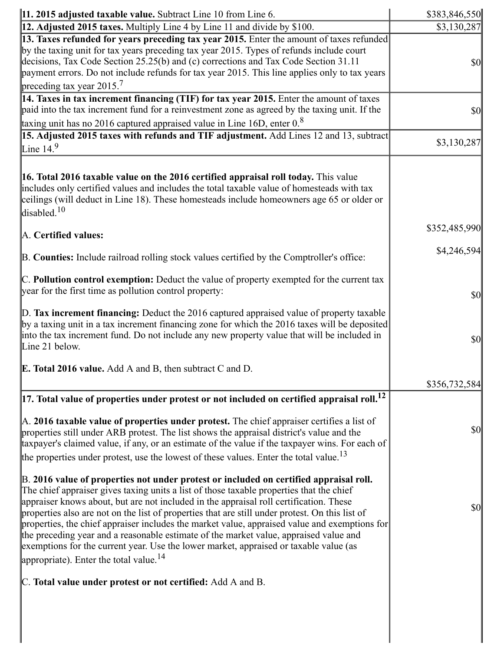| $\vert$ 11. 2015 adjusted taxable value. Subtract Line 10 from Line 6.                                                                                                                                                                                                                                                                                                                                                                                                                                                                                                                                                                                                                                                   | \$383,846,550                       |
|--------------------------------------------------------------------------------------------------------------------------------------------------------------------------------------------------------------------------------------------------------------------------------------------------------------------------------------------------------------------------------------------------------------------------------------------------------------------------------------------------------------------------------------------------------------------------------------------------------------------------------------------------------------------------------------------------------------------------|-------------------------------------|
| 12. Adjusted 2015 taxes. Multiply Line 4 by Line 11 and divide by \$100.                                                                                                                                                                                                                                                                                                                                                                                                                                                                                                                                                                                                                                                 | \$3,130,287                         |
| 13. Taxes refunded for years preceding tax year 2015. Enter the amount of taxes refunded<br>by the taxing unit for tax years preceding tax year 2015. Types of refunds include court<br>decisions, Tax Code Section 25.25(b) and (c) corrections and Tax Code Section 31.11<br>payment errors. Do not include refunds for tax year 2015. This line applies only to tax years<br>preceding tax year $2015.7$                                                                                                                                                                                                                                                                                                              | $\vert \mathbf{S} \mathbf{0} \vert$ |
| 14. Taxes in tax increment financing (TIF) for tax year 2015. Enter the amount of taxes<br>paid into the tax increment fund for a reinvestment zone as agreed by the taxing unit. If the<br>taxing unit has no $2016$ captured appraised value in Line 16D, enter $0.8$                                                                                                                                                                                                                                                                                                                                                                                                                                                  | $\vert \mathbf{S} \mathbf{0} \vert$ |
| 15. Adjusted 2015 taxes with refunds and TIF adjustment. Add Lines 12 and 13, subtract<br>Line $14.9$                                                                                                                                                                                                                                                                                                                                                                                                                                                                                                                                                                                                                    | \$3,130,287                         |
| 16. Total 2016 taxable value on the 2016 certified appraisal roll today. This value<br>includes only certified values and includes the total taxable value of homesteads with tax<br>ceilings (will deduct in Line 18). These homesteads include homeowners age 65 or older or<br>disabled. $10$                                                                                                                                                                                                                                                                                                                                                                                                                         |                                     |
| A. Certified values:                                                                                                                                                                                                                                                                                                                                                                                                                                                                                                                                                                                                                                                                                                     | \$352,485,990                       |
| B. Counties: Include railroad rolling stock values certified by the Comptroller's office:                                                                                                                                                                                                                                                                                                                                                                                                                                                                                                                                                                                                                                | \$4,246,594                         |
| $\mathbb C$ . Pollution control exemption: Deduct the value of property exempted for the current tax<br>year for the first time as pollution control property:                                                                                                                                                                                                                                                                                                                                                                                                                                                                                                                                                           | $\vert \mathbf{S} \mathbf{0} \vert$ |
| $\mathbb D$ . Tax increment financing: Deduct the 2016 captured appraised value of property taxable<br>by a taxing unit in a tax increment financing zone for which the 2016 taxes will be deposited<br>into the tax increment fund. Do not include any new property value that will be included in<br>Line 21 below.                                                                                                                                                                                                                                                                                                                                                                                                    | $\vert \mathbf{S} \mathbf{0} \vert$ |
| <b>E. Total 2016 value.</b> Add A and B, then subtract C and D.                                                                                                                                                                                                                                                                                                                                                                                                                                                                                                                                                                                                                                                          | \$356,732,584                       |
| $\vert$ 17. Total value of properties under protest or not included on certified appraisal roll. $^{12}$                                                                                                                                                                                                                                                                                                                                                                                                                                                                                                                                                                                                                 |                                     |
| $\mathbb A$ . 2016 taxable value of properties under protest. The chief appraiser certifies a list of<br>properties still under ARB protest. The list shows the appraisal district's value and the<br>taxpayer's claimed value, if any, or an estimate of the value if the taxpayer wins. For each of<br>the properties under protest, use the lowest of these values. Enter the total value. <sup>13</sup>                                                                                                                                                                                                                                                                                                              | \$0                                 |
| B. 2016 value of properties not under protest or included on certified appraisal roll.<br>The chief appraiser gives taxing units a list of those taxable properties that the chief<br>appraiser knows about, but are not included in the appraisal roll certification. These<br>properties also are not on the list of properties that are still under protest. On this list of<br>properties, the chief appraiser includes the market value, appraised value and exemptions for<br>the preceding year and a reasonable estimate of the market value, appraised value and<br>exemptions for the current year. Use the lower market, appraised or taxable value (as<br>appropriate). Enter the total value. <sup>14</sup> | \$0                                 |
| C. Total value under protest or not certified: Add A and B.                                                                                                                                                                                                                                                                                                                                                                                                                                                                                                                                                                                                                                                              |                                     |
|                                                                                                                                                                                                                                                                                                                                                                                                                                                                                                                                                                                                                                                                                                                          |                                     |

https://actweb.acttax.com/tnt/application/reports/1564149574665.html 2/10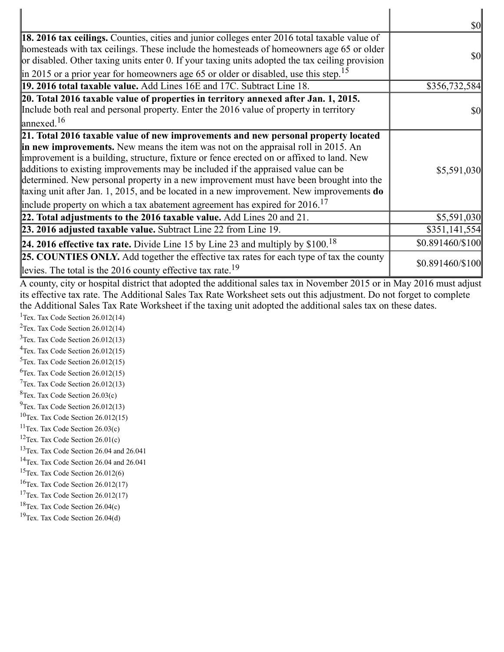|                                                                                                                                                                                                                                                                                                                                                                                                                                                                                                                                                                                                                                              | <b>\$0</b>                          |
|----------------------------------------------------------------------------------------------------------------------------------------------------------------------------------------------------------------------------------------------------------------------------------------------------------------------------------------------------------------------------------------------------------------------------------------------------------------------------------------------------------------------------------------------------------------------------------------------------------------------------------------------|-------------------------------------|
| <b>18. 2016 tax ceilings.</b> Counties, cities and junior colleges enter 2016 total taxable value of<br>homesteads with tax ceilings. These include the homesteads of homeowners age 65 or older<br>or disabled. Other taxing units enter 0. If your taxing units adopted the tax ceiling provision<br>$\parallel$ in 2015 or a prior year for homeowners age 65 or older or disabled, use this step. <sup>15</sup>                                                                                                                                                                                                                          | $\vert \mathbf{S} \mathbf{O} \vert$ |
| 19. 2016 total taxable value. Add Lines 16E and 17C. Subtract Line 18.                                                                                                                                                                                                                                                                                                                                                                                                                                                                                                                                                                       | \$356,732,584                       |
| 20. Total 2016 taxable value of properties in territory annexed after Jan. 1, 2015.<br>Include both real and personal property. Enter the 2016 value of property in territory<br>$\vert$ annexed. <sup>16</sup>                                                                                                                                                                                                                                                                                                                                                                                                                              | $\vert \mathbf{S} \mathbf{O} \vert$ |
| 21. Total 2016 taxable value of new improvements and new personal property located<br>in new improvements. New means the item was not on the appraisal roll in 2015. An<br>improvement is a building, structure, fixture or fence erected on or affixed to land. New<br>additions to existing improvements may be included if the appraised value can be<br>determined. New personal property in a new improvement must have been brought into the<br>taxing unit after Jan. 1, 2015, and be located in a new improvement. New improvements do<br>include property on which a tax abatement agreement has expired for $2016$ . <sup>17</sup> | \$5,591,030                         |
| 22. Total adjustments to the 2016 taxable value. Add Lines 20 and 21.                                                                                                                                                                                                                                                                                                                                                                                                                                                                                                                                                                        | \$5,591,030                         |
| 23. 2016 adjusted taxable value. Subtract Line 22 from Line 19.                                                                                                                                                                                                                                                                                                                                                                                                                                                                                                                                                                              | \$351,141,554                       |
| 24. 2016 effective tax rate. Divide Line 15 by Line 23 and multiply by $$100.18$                                                                                                                                                                                                                                                                                                                                                                                                                                                                                                                                                             | \$0.891460/\$100                    |
| <b>25. COUNTIES ONLY.</b> Add together the effective tax rates for each type of tax the county<br>levies. The total is the 2016 county effective tax rate. <sup>19</sup>                                                                                                                                                                                                                                                                                                                                                                                                                                                                     | \$0.891460/\$100                    |
| A county, city or hospital district that adopted the additional sales tax in November 2015 or in May 2016 must adjust<br>its effective tax rate. The Additional Sales Tax Rate Worksheet sets out this adjustment. Do not forget to complete<br>the Additional Sales Tax Rate Worksheet if the taxing unit adopted the additional sales tax on these dates.<br><sup>1</sup> Tex. Tax Code Section $26.012(14)$                                                                                                                                                                                                                               |                                     |

<sup>2</sup>Tex. Tax Code Section  $26.012(14)$ 

 $3$ Tex. Tax Code Section 26.012(13)

<sup>4</sup>Tex. Tax Code Section 26.012(15)  $5$ Tex. Tax Code Section 26.012(15)

 $6$ Tex. Tax Code Section 26.012(15)

 $7$ Tex. Tax Code Section 26.012(13)

 ${}^{8}$ Tex. Tax Code Section 26.03(c)

 $9$ Tex. Tax Code Section 26.012(13)

 $10$ Tex. Tax Code Section 26.012(15)

<sup>11</sup>Tex. Tax Code Section  $26.03(c)$ 

 $12$ Tex. Tax Code Section 26.01(c)

<sup>13</sup>Tex. Tax Code Section 26.04 and 26.041

<sup>14</sup>Tex. Tax Code Section 26.04 and 26.041

<sup>15</sup>Tex. Tax Code Section  $26.012(6)$ 

 $16$ Tex. Tax Code Section 26.012(17)

<sup>17</sup>Tex. Tax Code Section  $26.012(17)$ 

<sup>18</sup>Tex. Tax Code Section  $26.04(c)$ 

<sup>19</sup>Tex. Tax Code Section 26.04(d)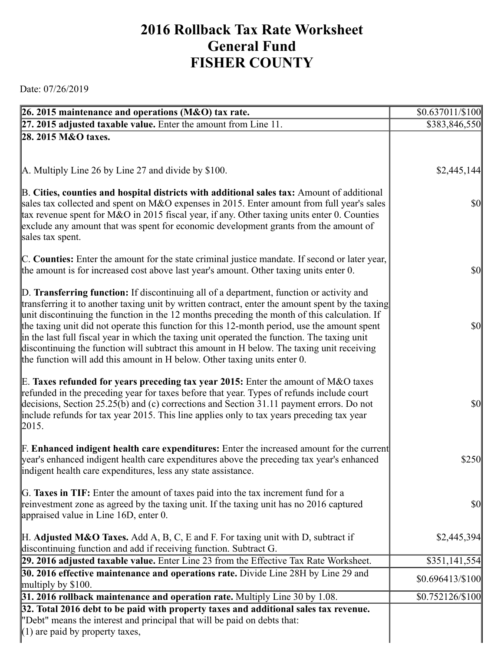## **2016 Rollback Tax Rate Worksheet General Fund FISHER COUNTY**

Date: 07/26/2019

| 26. 2015 maintenance and operations (M&O) tax rate.                                                                                                                                                                                                                                                                                                                                                                                                                                                                                                                         | $$0.637011/\$100$ |
|-----------------------------------------------------------------------------------------------------------------------------------------------------------------------------------------------------------------------------------------------------------------------------------------------------------------------------------------------------------------------------------------------------------------------------------------------------------------------------------------------------------------------------------------------------------------------------|-------------------|
| 27. 2015 adjusted taxable value. Enter the amount from Line 11.                                                                                                                                                                                                                                                                                                                                                                                                                                                                                                             | \$383,846,550     |
| 28. 2015 M&O taxes.                                                                                                                                                                                                                                                                                                                                                                                                                                                                                                                                                         |                   |
|                                                                                                                                                                                                                                                                                                                                                                                                                                                                                                                                                                             |                   |
| A. Multiply Line 26 by Line 27 and divide by \$100.                                                                                                                                                                                                                                                                                                                                                                                                                                                                                                                         | \$2,445,144       |
|                                                                                                                                                                                                                                                                                                                                                                                                                                                                                                                                                                             |                   |
| B. Cities, counties and hospital districts with additional sales tax: Amount of additional<br>sales tax collected and spent on M&O expenses in 2015. Enter amount from full year's sales<br>tax revenue spent for M&O in 2015 fiscal year, if any. Other taxing units enter 0. Counties<br>exclude any amount that was spent for economic development grants from the amount of<br>sales tax spent.                                                                                                                                                                         | $\frac{1}{2}$     |
|                                                                                                                                                                                                                                                                                                                                                                                                                                                                                                                                                                             |                   |
| C. Counties: Enter the amount for the state criminal justice mandate. If second or later year,<br>the amount is for increased cost above last year's amount. Other taxing units enter 0.                                                                                                                                                                                                                                                                                                                                                                                    | $\frac{1}{2}$     |
| D. Transferring function: If discontinuing all of a department, function or activity and                                                                                                                                                                                                                                                                                                                                                                                                                                                                                    |                   |
| transferring it to another taxing unit by written contract, enter the amount spent by the taxing<br>unit discontinuing the function in the 12 months preceding the month of this calculation. If<br>the taxing unit did not operate this function for this 12-month period, use the amount spent<br>in the last full fiscal year in which the taxing unit operated the function. The taxing unit<br>discontinuing the function will subtract this amount in H below. The taxing unit receiving<br>the function will add this amount in H below. Other taxing units enter 0. | $\frac{1}{2}$     |
| E. Taxes refunded for years preceding tax year 2015: Enter the amount of M&O taxes                                                                                                                                                                                                                                                                                                                                                                                                                                                                                          |                   |
| refunded in the preceding year for taxes before that year. Types of refunds include court<br>decisions, Section 25.25(b) and (c) corrections and Section 31.11 payment errors. Do not<br>include refunds for tax year 2015. This line applies only to tax years preceding tax year<br> 2015.                                                                                                                                                                                                                                                                                | $\frac{1}{2}$     |
| <b>F. Enhanced indigent health care expenditures:</b> Enter the increased amount for the current                                                                                                                                                                                                                                                                                                                                                                                                                                                                            |                   |
| year's enhanced indigent health care expenditures above the preceding tax year's enhanced<br>indigent health care expenditures, less any state assistance.                                                                                                                                                                                                                                                                                                                                                                                                                  | \$250             |
| G. Taxes in TIF: Enter the amount of taxes paid into the tax increment fund for a                                                                                                                                                                                                                                                                                                                                                                                                                                                                                           |                   |
| reinvestment zone as agreed by the taxing unit. If the taxing unit has no 2016 captured<br>appraised value in Line 16D, enter 0.                                                                                                                                                                                                                                                                                                                                                                                                                                            | <b>\$0</b>        |
|                                                                                                                                                                                                                                                                                                                                                                                                                                                                                                                                                                             |                   |
| $\mathbb H$ . Adjusted M&O Taxes. Add A, B, C, E and F. For taxing unit with D, subtract if<br>discontinuing function and add if receiving function. Subtract G.                                                                                                                                                                                                                                                                                                                                                                                                            | \$2,445,394       |
| 29. 2016 adjusted taxable value. Enter Line 23 from the Effective Tax Rate Worksheet.                                                                                                                                                                                                                                                                                                                                                                                                                                                                                       | \$351,141,554     |
| 30. 2016 effective maintenance and operations rate. Divide Line 28H by Line 29 and                                                                                                                                                                                                                                                                                                                                                                                                                                                                                          | $$0.696413\%100$  |
| multiply by $$100$ .                                                                                                                                                                                                                                                                                                                                                                                                                                                                                                                                                        |                   |
| 31. 2016 rollback maintenance and operation rate. Multiply Line 30 by 1.08.                                                                                                                                                                                                                                                                                                                                                                                                                                                                                                 | \$0.752126/\$100  |
| 32. Total 2016 debt to be paid with property taxes and additional sales tax revenue.<br>"Debt" means the interest and principal that will be paid on debts that:                                                                                                                                                                                                                                                                                                                                                                                                            |                   |
| $(1)$ are paid by property taxes,                                                                                                                                                                                                                                                                                                                                                                                                                                                                                                                                           |                   |
|                                                                                                                                                                                                                                                                                                                                                                                                                                                                                                                                                                             |                   |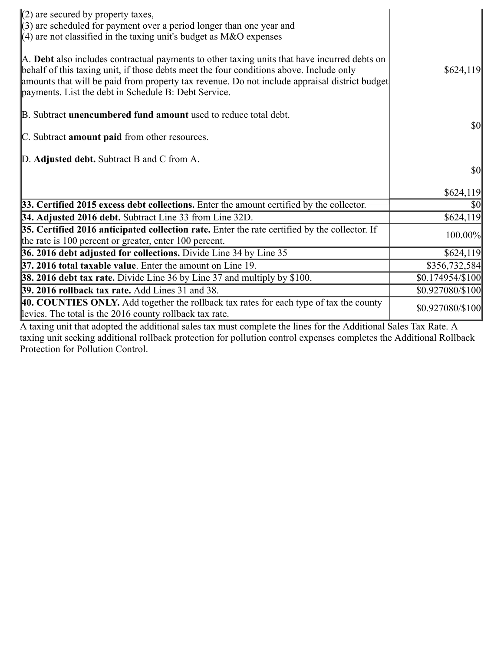| $(2)$ are secured by property taxes,<br>$(3)$ are scheduled for payment over a period longer than one year and<br>$(4)$ are not classified in the taxing unit's budget as M&O expenses                                                                                                                                                           |                  |
|--------------------------------------------------------------------------------------------------------------------------------------------------------------------------------------------------------------------------------------------------------------------------------------------------------------------------------------------------|------------------|
| A. Debt also includes contractual payments to other taxing units that have incurred debts on<br>behalf of this taxing unit, if those debts meet the four conditions above. Include only<br>amounts that will be paid from property tax revenue. Do not include appraisal district budget<br>payments. List the debt in Schedule B: Debt Service. | \$624,119        |
| B. Subtract <b>unencumbered fund amount</b> used to reduce total debt.                                                                                                                                                                                                                                                                           |                  |
| C. Subtract <b>amount paid</b> from other resources.                                                                                                                                                                                                                                                                                             | <b>\$0</b>       |
| D. Adjusted debt. Subtract B and C from A.                                                                                                                                                                                                                                                                                                       |                  |
|                                                                                                                                                                                                                                                                                                                                                  | <b>\$0</b>       |
|                                                                                                                                                                                                                                                                                                                                                  | \$624,119        |
| $33.$ Certified 2015 excess debt collections. Enter the amount certified by the collector.                                                                                                                                                                                                                                                       | \$0              |
| 34. Adjusted 2016 debt. Subtract Line 33 from Line 32D.                                                                                                                                                                                                                                                                                          | \$624,119        |
| 35. Certified 2016 anticipated collection rate. Enter the rate certified by the collector. If<br>the rate is 100 percent or greater, enter 100 percent.                                                                                                                                                                                          | 100.00%          |
| 36. 2016 debt adjusted for collections. Divide Line 34 by Line 35                                                                                                                                                                                                                                                                                | \$624,119        |
| <b>37. 2016 total taxable value.</b> Enter the amount on Line 19.                                                                                                                                                                                                                                                                                | \$356,732,584    |
| <b>38. 2016 debt tax rate.</b> Divide Line 36 by Line 37 and multiply by \$100.                                                                                                                                                                                                                                                                  | \$0.174954/\$100 |
| 39. 2016 rollback tax rate. Add Lines 31 and 38.                                                                                                                                                                                                                                                                                                 | \$0.927080/\$100 |
| 40. COUNTIES ONLY. Add together the rollback tax rates for each type of tax the county<br>levies. The total is the 2016 county rollback tax rate.                                                                                                                                                                                                | \$0.927080/\$100 |
| A taxing unit that adopted the additional sales tax must complete the lines for the Additional Sales Tay Rate A                                                                                                                                                                                                                                  |                  |

A taxing unit that adopted the additional sales tax must complete the lines for the Additional Sales Tax Rate. A taxing unit seeking additional rollback protection for pollution control expenses completes the Additional Rollback Protection for Pollution Control.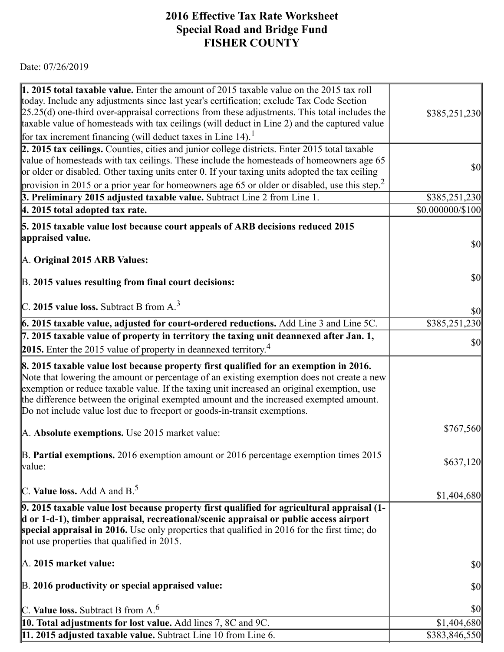## 7/26/2019 https://actweb.acttax.com/tnt/application/reports/1564149574665.html **2016 Effective Tax Rate Worksheet Special Road and Bridge Fund FISHER COUNTY**

Date: 07/26/2019

| 1. 2015 total taxable value. Enter the amount of 2015 taxable value on the 2015 tax roll<br>today. Include any adjustments since last year's certification; exclude Tax Code Section<br>$[25.25(d)$ one-third over-appraisal corrections from these adjustments. This total includes the                                                                                                                                                                 | \$385,251,230                       |
|----------------------------------------------------------------------------------------------------------------------------------------------------------------------------------------------------------------------------------------------------------------------------------------------------------------------------------------------------------------------------------------------------------------------------------------------------------|-------------------------------------|
| taxable value of homesteads with tax ceilings (will deduct in Line 2) and the captured value                                                                                                                                                                                                                                                                                                                                                             |                                     |
| for tax increment financing (will deduct taxes in Line 14). <sup>1</sup>                                                                                                                                                                                                                                                                                                                                                                                 |                                     |
| 2. 2015 tax ceilings. Counties, cities and junior college districts. Enter 2015 total taxable<br>value of homesteads with tax ceilings. These include the homesteads of homeowners age 65<br>or older or disabled. Other taxing units enter 0. If your taxing units adopted the tax ceiling                                                                                                                                                              | <b>\$0</b>                          |
| provision in 2015 or a prior year for homeowners age 65 or older or disabled, use this step. <sup>2</sup>                                                                                                                                                                                                                                                                                                                                                |                                     |
| 3. Preliminary 2015 adjusted taxable value. Subtract Line 2 from Line 1.                                                                                                                                                                                                                                                                                                                                                                                 | \$385,251,230                       |
| $ 4.2015$ total adopted tax rate.                                                                                                                                                                                                                                                                                                                                                                                                                        | \$0.000000/\$100                    |
| 5. 2015 taxable value lost because court appeals of ARB decisions reduced 2015<br>appraised value.                                                                                                                                                                                                                                                                                                                                                       | $\vert \mathbf{S} \mathbf{0} \vert$ |
| A. Original 2015 ARB Values:                                                                                                                                                                                                                                                                                                                                                                                                                             |                                     |
| B. 2015 values resulting from final court decisions:                                                                                                                                                                                                                                                                                                                                                                                                     | $\vert \mathbf{S} \mathbf{0} \vert$ |
| C. 2015 value loss. Subtract B from $A3$                                                                                                                                                                                                                                                                                                                                                                                                                 | $\vert \mathbf{S} \mathbf{O} \vert$ |
| <b>6. 2015 taxable value, adjusted for court-ordered reductions.</b> Add Line 3 and Line 5C.                                                                                                                                                                                                                                                                                                                                                             | \$385,251,230                       |
| 7. 2015 taxable value of property in territory the taxing unit deannexed after Jan. 1,                                                                                                                                                                                                                                                                                                                                                                   | $\vert \mathbf{S} \mathbf{0} \vert$ |
| 2015. Enter the 2015 value of property in deannexed territory. <sup>4</sup>                                                                                                                                                                                                                                                                                                                                                                              |                                     |
| 8. 2015 taxable value lost because property first qualified for an exemption in 2016.<br>Note that lowering the amount or percentage of an existing exemption does not create a new<br>exemption or reduce taxable value. If the taxing unit increased an original exemption, use<br>the difference between the original exempted amount and the increased exempted amount.<br>Do not include value lost due to freeport or goods-in-transit exemptions. |                                     |
| A. Absolute exemptions. Use 2015 market value:                                                                                                                                                                                                                                                                                                                                                                                                           | \$767,560                           |
| $\mathbb B$ . Partial exemptions. 2016 exemption amount or 2016 percentage exemption times 2015<br>value:                                                                                                                                                                                                                                                                                                                                                | \$637,120                           |
| C. Value loss. Add A and $B^5$ .                                                                                                                                                                                                                                                                                                                                                                                                                         | \$1,404,680                         |
| 9. 2015 taxable value lost because property first qualified for agricultural appraisal (1-<br>d or 1-d-1), timber appraisal, recreational/scenic appraisal or public access airport<br>special appraisal in 2016. Use only properties that qualified in 2016 for the first time; do<br>not use properties that qualified in 2015.                                                                                                                        |                                     |
| $\mathbb{A}$ . 2015 market value:                                                                                                                                                                                                                                                                                                                                                                                                                        | $\vert \mathbf{S} \mathbf{O} \vert$ |
| B. 2016 productivity or special appraised value:                                                                                                                                                                                                                                                                                                                                                                                                         | $\vert \mathbf{S} \mathbf{O} \vert$ |
| C. Value loss. Subtract B from $A6$                                                                                                                                                                                                                                                                                                                                                                                                                      | <b>\$0</b>                          |
| 10. Total adjustments for lost value. Add lines 7, 8C and 9C.                                                                                                                                                                                                                                                                                                                                                                                            | \$1,404,680                         |
| 11. 2015 adjusted taxable value. Subtract Line 10 from Line 6.                                                                                                                                                                                                                                                                                                                                                                                           | \$383,846,550                       |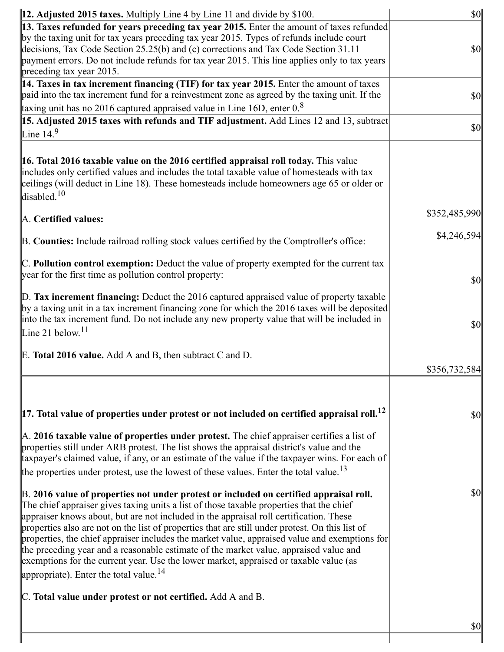| <b>12. Adjusted 2015 taxes.</b> Multiply Line 4 by Line 11 and divide by \$100.                                                                                                                                                                                                                                                                                                                                                                                                                                                                                                                                                                                                                                          | <b>\$0</b>    |
|--------------------------------------------------------------------------------------------------------------------------------------------------------------------------------------------------------------------------------------------------------------------------------------------------------------------------------------------------------------------------------------------------------------------------------------------------------------------------------------------------------------------------------------------------------------------------------------------------------------------------------------------------------------------------------------------------------------------------|---------------|
| [13. Taxes refunded for years preceding tax year 2015. Enter the amount of taxes refunded]<br>by the taxing unit for tax years preceding tax year 2015. Types of refunds include court<br>decisions, Tax Code Section 25.25(b) and (c) corrections and Tax Code Section 31.11<br>payment errors. Do not include refunds for tax year 2015. This line applies only to tax years                                                                                                                                                                                                                                                                                                                                           | \$0           |
| preceding tax year 2015.                                                                                                                                                                                                                                                                                                                                                                                                                                                                                                                                                                                                                                                                                                 |               |
| 14. Taxes in tax increment financing (TIF) for tax year 2015. Enter the amount of taxes<br>paid into the tax increment fund for a reinvestment zone as agreed by the taxing unit. If the                                                                                                                                                                                                                                                                                                                                                                                                                                                                                                                                 | \$0           |
| taxing unit has no 2016 captured appraised value in Line 16D, enter $0.8$                                                                                                                                                                                                                                                                                                                                                                                                                                                                                                                                                                                                                                                |               |
| 15. Adjusted 2015 taxes with refunds and TIF adjustment. Add Lines 12 and 13, subtract<br>Line $14.9$                                                                                                                                                                                                                                                                                                                                                                                                                                                                                                                                                                                                                    | \$0           |
| <b>16. Total 2016 taxable value on the 2016 certified appraisal roll today.</b> This value<br>includes only certified values and includes the total taxable value of homesteads with tax<br>ceilings (will deduct in Line 18). These homesteads include homeowners age 65 or older or<br>disabled. $10$                                                                                                                                                                                                                                                                                                                                                                                                                  |               |
| A. Certified values:                                                                                                                                                                                                                                                                                                                                                                                                                                                                                                                                                                                                                                                                                                     | \$352,485,990 |
| B. Counties: Include railroad rolling stock values certified by the Comptroller's office:                                                                                                                                                                                                                                                                                                                                                                                                                                                                                                                                                                                                                                | \$4,246,594   |
| C. Pollution control exemption: Deduct the value of property exempted for the current tax<br>year for the first time as pollution control property:                                                                                                                                                                                                                                                                                                                                                                                                                                                                                                                                                                      | $ 10\rangle$  |
| $\mathbb{D}$ . Tax increment financing: Deduct the 2016 captured appraised value of property taxable<br>by a taxing unit in a tax increment financing zone for which the 2016 taxes will be deposited<br>into the tax increment fund. Do not include any new property value that will be included in<br>Line 21 below. $11$                                                                                                                                                                                                                                                                                                                                                                                              | \$0           |
| E. Total 2016 value. Add A and B, then subtract C and D.                                                                                                                                                                                                                                                                                                                                                                                                                                                                                                                                                                                                                                                                 | \$356,732,584 |
|                                                                                                                                                                                                                                                                                                                                                                                                                                                                                                                                                                                                                                                                                                                          |               |
| $\vert$ 17. Total value of properties under protest or not included on certified appraisal roll. <sup>12</sup>                                                                                                                                                                                                                                                                                                                                                                                                                                                                                                                                                                                                           | \$0           |
| $\mathbb A$ . 2016 taxable value of properties under protest. The chief appraiser certifies a list of<br>properties still under ARB protest. The list shows the appraisal district's value and the<br>taxpayer's claimed value, if any, or an estimate of the value if the taxpayer wins. For each of<br>the properties under protest, use the lowest of these values. Enter the total value. <sup>13</sup>                                                                                                                                                                                                                                                                                                              |               |
| B. 2016 value of properties not under protest or included on certified appraisal roll.<br>The chief appraiser gives taxing units a list of those taxable properties that the chief<br>appraiser knows about, but are not included in the appraisal roll certification. These<br>properties also are not on the list of properties that are still under protest. On this list of<br>properties, the chief appraiser includes the market value, appraised value and exemptions for<br>the preceding year and a reasonable estimate of the market value, appraised value and<br>exemptions for the current year. Use the lower market, appraised or taxable value (as<br>appropriate). Enter the total value. <sup>14</sup> | \$0           |
| C. Total value under protest or not certified. Add A and B.                                                                                                                                                                                                                                                                                                                                                                                                                                                                                                                                                                                                                                                              |               |
|                                                                                                                                                                                                                                                                                                                                                                                                                                                                                                                                                                                                                                                                                                                          | $\frac{1}{2}$ |

https://activities/int/application/reports/15641495746657466574665.html 7/1004149574665.html 7/1004149574665.h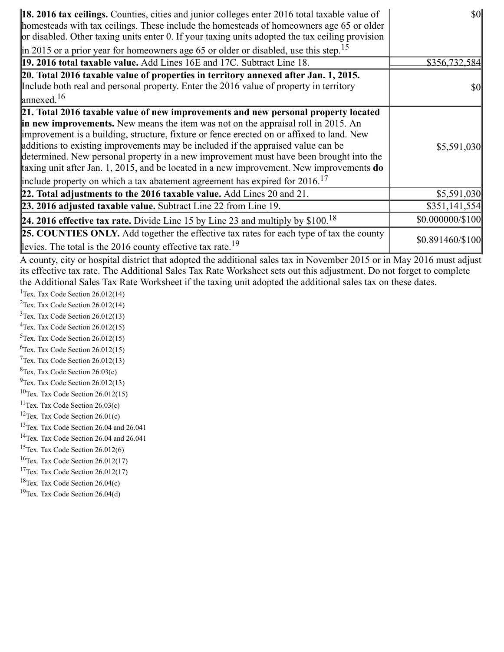| <b>18. 2016 tax ceilings.</b> Counties, cities and junior colleges enter 2016 total taxable value of<br>homesteads with tax ceilings. These include the homesteads of homeowners age 65 or older<br>or disabled. Other taxing units enter 0. If your taxing units adopted the tax ceiling provision                                                                                                                                                                                                                                                                                                                                                 | $\frac{1}{2}$    |
|-----------------------------------------------------------------------------------------------------------------------------------------------------------------------------------------------------------------------------------------------------------------------------------------------------------------------------------------------------------------------------------------------------------------------------------------------------------------------------------------------------------------------------------------------------------------------------------------------------------------------------------------------------|------------------|
| in 2015 or a prior year for homeowners age 65 or older or disabled, use this step. <sup>15</sup>                                                                                                                                                                                                                                                                                                                                                                                                                                                                                                                                                    |                  |
| 19. 2016 total taxable value. Add Lines 16E and 17C. Subtract Line 18.                                                                                                                                                                                                                                                                                                                                                                                                                                                                                                                                                                              | \$356,732,584    |
| 20. Total 2016 taxable value of properties in territory annexed after Jan. 1, 2015.                                                                                                                                                                                                                                                                                                                                                                                                                                                                                                                                                                 |                  |
| Include both real and personal property. Enter the 2016 value of property in territory                                                                                                                                                                                                                                                                                                                                                                                                                                                                                                                                                              | \$0              |
| $\ell$ annexed. <sup>16</sup>                                                                                                                                                                                                                                                                                                                                                                                                                                                                                                                                                                                                                       |                  |
| 21. Total 2016 taxable value of new improvements and new personal property located<br><b>in new improvements.</b> New means the item was not on the appraisal roll in 2015. An<br>improvement is a building, structure, fixture or fence erected on or affixed to land. New<br>additions to existing improvements may be included if the appraised value can be<br>determined. New personal property in a new improvement must have been brought into the<br>taxing unit after Jan. 1, 2015, and be located in a new improvement. New improvements do<br>include property on which a tax abatement agreement has expired for $2016$ . <sup>17</sup> | \$5,591,030      |
| 22. Total adjustments to the 2016 taxable value. Add Lines 20 and 21.                                                                                                                                                                                                                                                                                                                                                                                                                                                                                                                                                                               | \$5,591,030      |
| 23. 2016 adjusted taxable value. Subtract Line 22 from Line 19.                                                                                                                                                                                                                                                                                                                                                                                                                                                                                                                                                                                     | \$351,141,554    |
| <b>24. 2016 effective tax rate.</b> Divide Line 15 by Line 23 and multiply by $$100$ . <sup>18</sup>                                                                                                                                                                                                                                                                                                                                                                                                                                                                                                                                                | \$0.000000/\$100 |
| <b>25. COUNTIES ONLY.</b> Add together the effective tax rates for each type of tax the county<br>levies. The total is the 2016 county effective tax rate. <sup>19</sup>                                                                                                                                                                                                                                                                                                                                                                                                                                                                            | \$0.891460/\$100 |

A county, city or hospital district that adopted the additional sales tax in November 2015 or in May 2016 must adjust its effective tax rate. The Additional Sales Tax Rate Worksheet sets out this adjustment. Do not forget to complete the Additional Sales Tax Rate Worksheet if the taxing unit adopted the additional sales tax on these dates.

<sup>1</sup>Tex. Tax Code Section 26.012(14)

<sup>2</sup>Tex. Tax Code Section 26.012(14)

 $3$ Tex. Tax Code Section 26.012(13)  $4$ Tex. Tax Code Section 26.012(15)

 $5$ Tex. Tax Code Section 26.012(15)

 ${}^{6}$ Tex. Tax Code Section 26.012(15)

 $7$ Tex. Tax Code Section 26.012(13)

 ${}^{8}$ Tex. Tax Code Section 26.03(c)

 $^{9}$ Tex. Tax Code Section 26.012(13)

 $10$ Tex. Tax Code Section 26.012(15)

<sup>11</sup>Tex. Tax Code Section  $26.03(c)$ 

<sup>12</sup>Tex. Tax Code Section  $26.01(c)$ 

<sup>13</sup>Tex. Tax Code Section 26.04 and 26.041

<sup>14</sup>Tex. Tax Code Section 26.04 and 26.041

<sup>15</sup>Tex. Tax Code Section  $26.012(6)$ 

 $16$ Tex. Tax Code Section 26.012(17)

<sup>17</sup>Tex. Tax Code Section  $26.012(17)$ 

<sup>18</sup>Tex. Tax Code Section  $26.04(c)$ 

 $19$ Tex. Tax Code Section 26.04(d)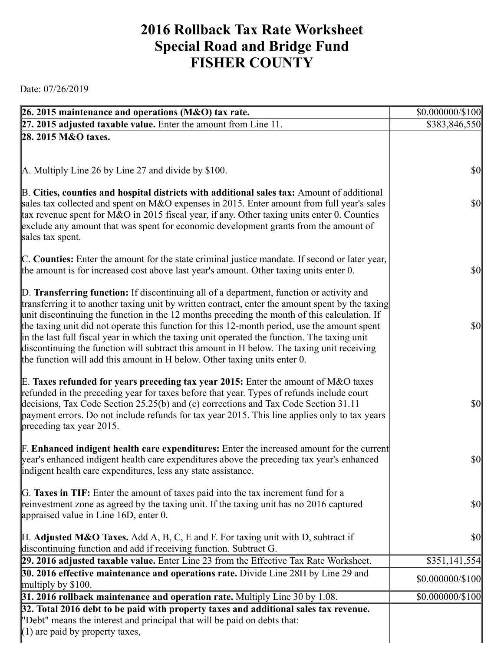## **2016 Rollback Tax Rate Worksheet Special Road and Bridge Fund FISHER COUNTY**

Date: 07/26/2019

| 26. 2015 maintenance and operations (M&O) tax rate.                                                                                                                                 | \$0.000000/\$100                    |
|-------------------------------------------------------------------------------------------------------------------------------------------------------------------------------------|-------------------------------------|
| $\left 27, 2015\right $ adjusted taxable value. Enter the amount from Line 11.                                                                                                      | \$383,846,550                       |
| 28. 2015 M&O taxes.                                                                                                                                                                 |                                     |
|                                                                                                                                                                                     |                                     |
| A. Multiply Line 26 by Line 27 and divide by \$100.                                                                                                                                 | <b>\$0</b>                          |
|                                                                                                                                                                                     |                                     |
| B. Cities, counties and hospital districts with additional sales tax: Amount of additional                                                                                          |                                     |
| sales tax collected and spent on M&O expenses in 2015. Enter amount from full year's sales                                                                                          | $\vert \mathbf{S} \mathbf{0} \vert$ |
| tax revenue spent for M&O in 2015 fiscal year, if any. Other taxing units enter 0. Counties<br>exclude any amount that was spent for economic development grants from the amount of |                                     |
| sales tax spent.                                                                                                                                                                    |                                     |
|                                                                                                                                                                                     |                                     |
| C. Counties: Enter the amount for the state criminal justice mandate. If second or later year,                                                                                      |                                     |
| the amount is for increased cost above last year's amount. Other taxing units enter 0.                                                                                              | <b>\$0</b>                          |
| D. Transferring function: If discontinuing all of a department, function or activity and                                                                                            |                                     |
| transferring it to another taxing unit by written contract, enter the amount spent by the taxing                                                                                    |                                     |
| unit discontinuing the function in the 12 months preceding the month of this calculation. If                                                                                        |                                     |
| the taxing unit did not operate this function for this 12-month period, use the amount spent                                                                                        | $\vert \mathbf{S} \mathbf{0} \vert$ |
| in the last full fiscal year in which the taxing unit operated the function. The taxing unit                                                                                        |                                     |
| discontinuing the function will subtract this amount in H below. The taxing unit receiving<br>the function will add this amount in H below. Other taxing units enter 0.             |                                     |
|                                                                                                                                                                                     |                                     |
| E. Taxes refunded for years preceding tax year 2015: Enter the amount of M&O taxes                                                                                                  |                                     |
| refunded in the preceding year for taxes before that year. Types of refunds include court                                                                                           |                                     |
| decisions, Tax Code Section 25.25(b) and (c) corrections and Tax Code Section 31.11                                                                                                 | $\vert \mathbf{S} \mathbf{0} \vert$ |
| payment errors. Do not include refunds for tax year 2015. This line applies only to tax years<br>preceding tax year 2015.                                                           |                                     |
|                                                                                                                                                                                     |                                     |
| <b>F. Enhanced indigent health care expenditures:</b> Enter the increased amount for the current                                                                                    |                                     |
| year's enhanced indigent health care expenditures above the preceding tax year's enhanced                                                                                           | $\vert \$\text{0}\vert$             |
| indigent health care expenditures, less any state assistance.                                                                                                                       |                                     |
| G. Taxes in TIF: Enter the amount of taxes paid into the tax increment fund for a                                                                                                   |                                     |
| reinvestment zone as agreed by the taxing unit. If the taxing unit has no 2016 captured                                                                                             | $\vert \mathbf{S} \mathbf{O} \vert$ |
| appraised value in Line 16D, enter 0.                                                                                                                                               |                                     |
| $\mathbb H$ . Adjusted M&O Taxes. Add A, B, C, E and F. For taxing unit with D, subtract if                                                                                         | \$0                                 |
| discontinuing function and add if receiving function. Subtract G.                                                                                                                   |                                     |
| 29. 2016 adjusted taxable value. Enter Line 23 from the Effective Tax Rate Worksheet.                                                                                               | \$351,141,554                       |
| <b>30. 2016 effective maintenance and operations rate.</b> Divide Line 28H by Line 29 and                                                                                           | \$0.000000/\$100                    |
| multiply by $$100$ .                                                                                                                                                                |                                     |
| 31. 2016 rollback maintenance and operation rate. Multiply Line 30 by 1.08.                                                                                                         | $$0.000000 \times 100$              |
| 32. Total 2016 debt to be paid with property taxes and additional sales tax revenue.<br>"Debt" means the interest and principal that will be paid on debts that:                    |                                     |
| $(1)$ are paid by property taxes,                                                                                                                                                   |                                     |
|                                                                                                                                                                                     |                                     |